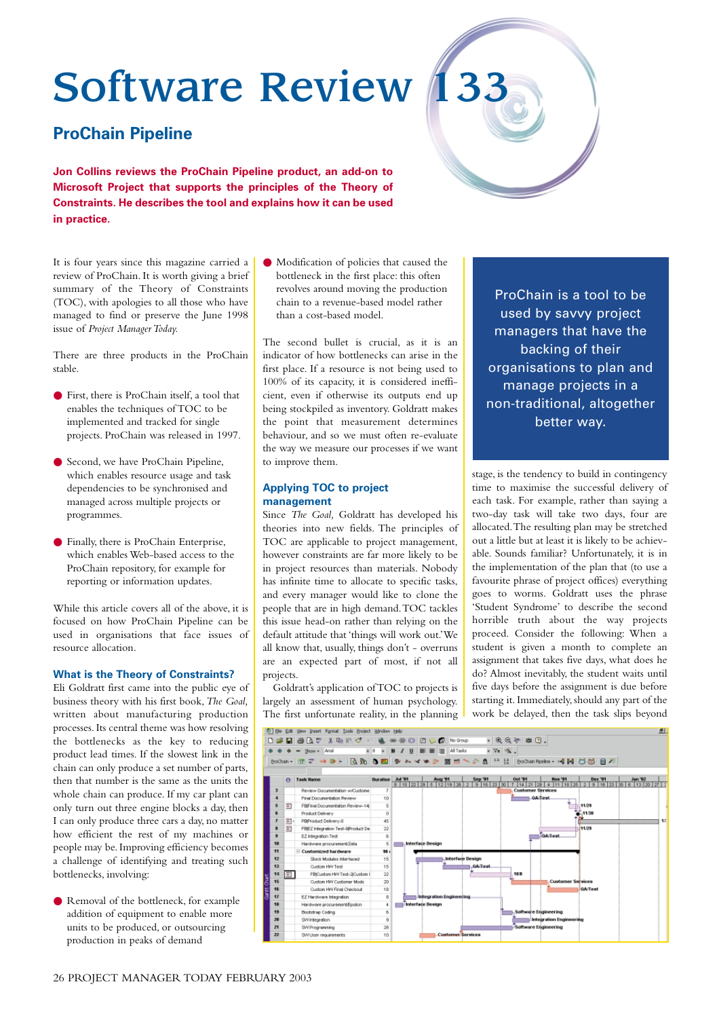# Software Review 133

# **ProChain Pipeline**

**Jon Collins reviews the ProChain Pipeline product, an add-on to Microsoft Project that supports the principles of the Theory of Constraints. He describes the tool and explains how it can be used in practice.**

It is four years since this magazine carried a review of ProChain. It is worth giving a brief summary of the Theory of Constraints (TOC), with apologies to all those who have managed to find or preserve the June 1998 issue of *Project Manager Today.*

There are three products in the ProChain stable.

- First, there is ProChain itself, a tool that enables the techniques of TOC to be implemented and tracked for single projects. ProChain was released in 1997.
- Second, we have ProChain Pipeline, which enables resource usage and task dependencies to be synchronised and managed across multiple projects or programmes.
- Finally, there is ProChain Enterprise, which enables Web-based access to the ProChain repository, for example for reporting or information updates.

While this article covers all of the above, it is focused on how ProChain Pipeline can be used in organisations that face issues of resource allocation.

#### **What is the Theory of Constraints?**

Eli Goldratt first came into the public eye of business theory with his first book,*The Goal,* written about manufacturing production processes. Its central theme was how resolving the bottlenecks as the key to reducing product lead times. If the slowest link in the chain can only produce a set number of parts, then that number is the same as the units the whole chain can produce. If my car plant can only turn out three engine blocks a day, then I can only produce three cars a day, no matter how efficient the rest of my machines or people may be. Improving efficiency becomes a challenge of identifying and treating such bottlenecks, involving:

● Removal of the bottleneck, for example addition of equipment to enable more units to be produced, or outsourcing production in peaks of demand

● Modification of policies that caused the bottleneck in the first place: this often revolves around moving the production chain to a revenue-based model rather than a cost-based model.

The second bullet is crucial, as it is an indicator of how bottlenecks can arise in the first place. If a resource is not being used to 100% of its capacity, it is considered inefficient, even if otherwise its outputs end up being stockpiled as inventory. Goldratt makes the point that measurement determines behaviour, and so we must often re-evaluate the way we measure our processes if we want to improve them.

## **Applying TOC to project management**

Since *The Goal,* Goldratt has developed his theories into new fields. The principles of TOC are applicable to project management, however constraints are far more likely to be in project resources than materials. Nobody has infinite time to allocate to specific tasks, and every manager would like to clone the people that are in high demand.TOC tackles this issue head-on rather than relying on the default attitude that 'things will work out.'We all know that, usually, things don't - overruns are an expected part of most, if not all projects.

Goldratt's application of TOC to projects is largely an assessment of human psychology. The first unfortunate reality, in the planning

ProChain is a tool to be used by savvy project managers that have the backing of their organisations to plan and manage projects in a non-traditional, altogether better way.

stage, is the tendency to build in contingency time to maximise the successful delivery of each task. For example, rather than saying a two-day task will take two days, four are allocated.The resulting plan may be stretched out a little but at least it is likely to be achievable. Sounds familiar? Unfortunately, it is in the implementation of the plan that (to use a favourite phrase of project offices) everything goes to worms. Goldratt uses the phrase 'Student Syndrome' to describe the second horrible truth about the way projects proceed. Consider the following: When a student is given a month to complete an assignment that takes five days, what does he do? Almost inevitably, the student waits until five days before the assignment is due before starting it. Immediately, should any part of the work be delayed, then the task slips beyond



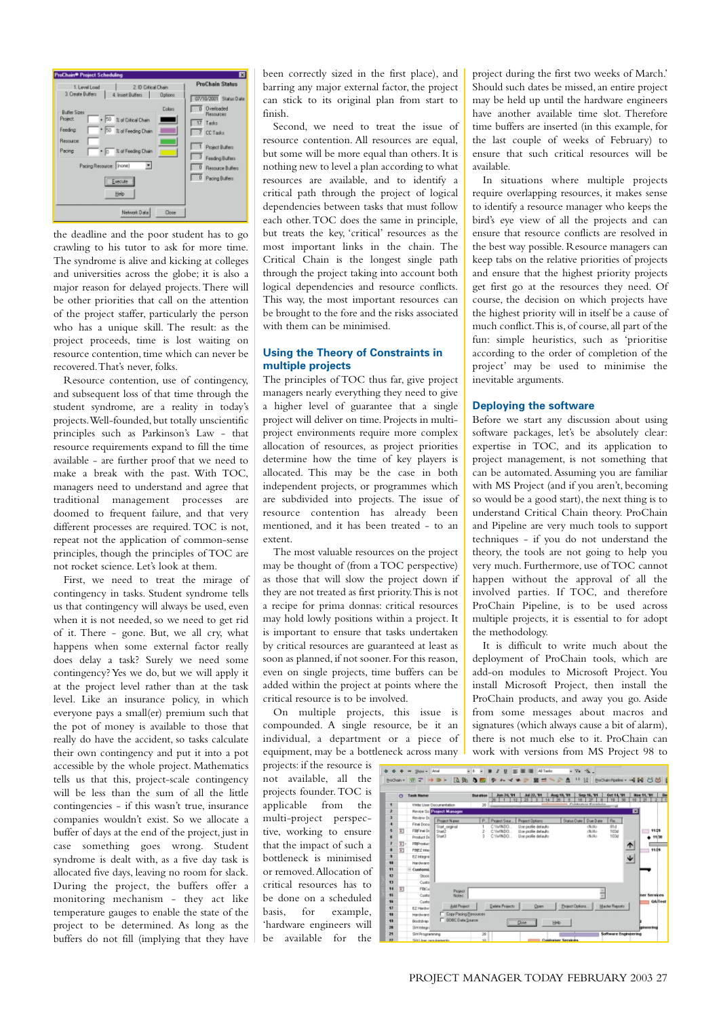

the deadline and the poor student has to go crawling to his tutor to ask for more time. The syndrome is alive and kicking at colleges and universities across the globe; it is also a major reason for delayed projects.There will be other priorities that call on the attention of the project staffer, particularly the person who has a unique skill. The result: as the project proceeds, time is lost waiting on resource contention, time which can never be recovered.That's never, folks.

Resource contention, use of contingency, and subsequent loss of that time through the student syndrome, are a reality in today's projects.Well-founded, but totally unscientific principles such as Parkinson's Law - that resource requirements expand to fill the time available - are further proof that we need to make a break with the past. With TOC, managers need to understand and agree that traditional management processes are doomed to frequent failure, and that very different processes are required. TOC is not. repeat not the application of common-sense principles, though the principles of TOC are not rocket science. Let's look at them.

First, we need to treat the mirage of contingency in tasks. Student syndrome tells us that contingency will always be used, even when it is not needed, so we need to get rid of it. There - gone. But, we all cry, what happens when some external factor really does delay a task? Surely we need some contingency? Yes we do, but we will apply it at the project level rather than at the task level. Like an insurance policy, in which everyone pays a small(er) premium such that the pot of money is available to those that really do have the accident, so tasks calculate their own contingency and put it into a pot accessible by the whole project. Mathematics tells us that this, project-scale contingency will be less than the sum of all the little contingencies - if this wasn't true, insurance companies wouldn't exist. So we allocate a buffer of days at the end of the project, just in case something goes wrong. Student syndrome is dealt with, as a five day task is allocated five days, leaving no room for slack. During the project, the buffers offer a monitoring mechanism - they act like temperature gauges to enable the state of the project to be determined. As long as the buffers do not fill (implying that they have

been correctly sized in the first place), and barring any major external factor, the project can stick to its original plan from start to finish.

Second, we need to treat the issue of resource contention. All resources are equal, but some will be more equal than others. It is nothing new to level a plan according to what resources are available, and to identify a critical path through the project of logical dependencies between tasks that must follow each other.TOC does the same in principle, but treats the key, 'critical' resources as the most important links in the chain. The Critical Chain is the longest single path through the project taking into account both logical dependencies and resource conflicts. This way, the most important resources can be brought to the fore and the risks associated with them can be minimised.

#### **Using the Theory of Constraints in multiple projects**

The principles of TOC thus far, give project managers nearly everything they need to give a higher level of guarantee that a single project will deliver on time. Projects in multiproject environments require more complex allocation of resources, as project priorities determine how the time of key players is allocated. This may be the case in both independent projects, or programmes which are subdivided into projects. The issue of resource contention has already been mentioned, and it has been treated - to an extent.

The most valuable resources on the project may be thought of (from a TOC perspective) as those that will slow the project down if they are not treated as first priority.This is not a recipe for prima donnas: critical resources may hold lowly positions within a project. It is important to ensure that tasks undertaken by critical resources are guaranteed at least as soon as planned, if not sooner. For this reason, even on single projects, time buffers can be added within the project at points where the critical resource is to be involved.

On multiple projects, this issue is compounded. A single resource, be it an individual, a department or a piece of equipment, may be a bottleneck across many

projects: if the resource is not available, all the projects founder. TOC is applicable from the multi-project perspective, working to ensure that the impact of such a bottleneck is minimised or removed.Allocation of critical resources has to be done on a scheduled basis, for example, 'hardware engineers will be available for the

project during the first two weeks of March.' Should such dates be missed, an entire project may be held up until the hardware engineers have another available time slot. Therefore time buffers are inserted (in this example, for the last couple of weeks of February) to ensure that such critical resources will be available.

In situations where multiple projects require overlapping resources, it makes sense to identify a resource manager who keeps the bird's eye view of all the projects and can ensure that resource conflicts are resolved in the best way possible. Resource managers can keep tabs on the relative priorities of projects and ensure that the highest priority projects get first go at the resources they need. Of course, the decision on which projects have the highest priority will in itself be a cause of much conflict.This is, of course, all part of the fun: simple heuristics, such as 'prioritise according to the order of completion of the project' may be used to minimise the inevitable arguments.

#### **Deploying the software**

Before we start any discussion about using software packages, let's be absolutely clear: expertise in TOC, and its application to project management, is not something that can be automated. Assuming you are familiar with MS Project (and if you aren't, becoming so would be a good start), the next thing is to understand Critical Chain theory. ProChain and Pipeline are very much tools to support techniques - if you do not understand the theory, the tools are not going to help you very much. Furthermore, use of TOC cannot happen without the approval of all the involved parties. If TOC, and therefore ProChain Pipeline, is to be used across multiple projects, it is essential to for adopt the methodology.

It is difficult to write much about the deployment of ProChain tools, which are add-on modules to Microsoft Project. You install Microsoft Project, then install the ProChain products, and away you go. Aside from some messages about macros and signatures (which always cause a bit of alarm), there is not much else to it. ProChain can work with versions from MS Project 98 to

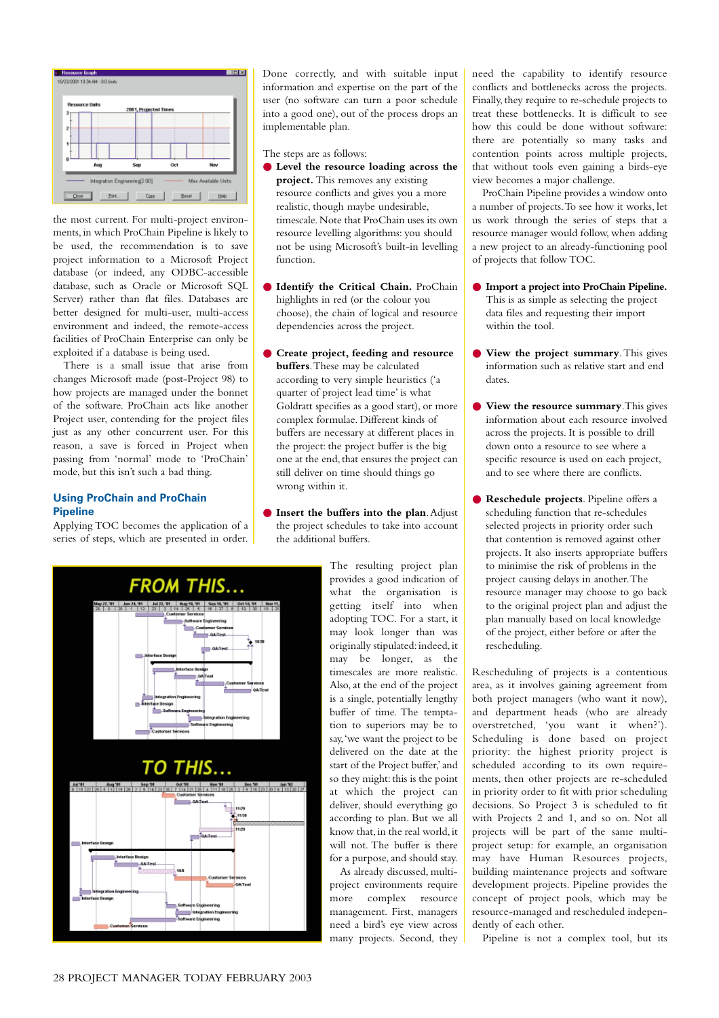

the most current. For multi-project environments,in which ProChain Pipeline is likely to be used, the recommendation is to save project information to a Microsoft Project database (or indeed, any ODBC-accessible database, such as Oracle or Microsoft SQL Server) rather than flat files. Databases are better designed for multi-user, multi-access environment and indeed, the remote-access facilities of ProChain Enterprise can only be exploited if a database is being used.

There is a small issue that arise from changes Microsoft made (post-Project 98) to how projects are managed under the bonnet of the software. ProChain acts like another Project user, contending for the project files just as any other concurrent user. For this reason, a save is forced in Project when passing from 'normal' mode to 'ProChain' mode, but this isn't such a bad thing.

## **Using ProChain and ProChain Pipeline**

Applying TOC becomes the application of a series of steps, which are presented in order.



The steps are as follows:

- **Level the resource loading across the project.** This removes any existing resource conflicts and gives you a more realistic, though maybe undesirable, timescale.Note that ProChain uses its own resource levelling algorithms: you should not be using Microsoft's built-in levelling function.
- **Identify the Critical Chain.** ProChain highlights in red (or the colour you choose), the chain of logical and resource dependencies across the project.
- **Create project, feeding and resource buffers**.These may be calculated according to very simple heuristics ('a quarter of project lead time' is what Goldratt specifies as a good start), or more complex formulae. Different kinds of buffers are necessary at different places in the project: the project buffer is the big one at the end, that ensures the project can still deliver on time should things go wrong within it.
- **Insert the buffers into the plan**. Adjust the project schedules to take into account the additional buffers.

management. First, managers need a bird's eye view across many projects. Second, they



need the capability to identify resource conflicts and bottlenecks across the projects. Finally, they require to re-schedule projects to treat these bottlenecks. It is difficult to see how this could be done without software: there are potentially so many tasks and contention points across multiple projects, that without tools even gaining a birds-eye view becomes a major challenge.

ProChain Pipeline provides a window onto a number of projects.To see how it works, let us work through the series of steps that a resource manager would follow, when adding a new project to an already-functioning pool of projects that follow TOC.

- **Import a project into ProChain Pipeline.** This is as simple as selecting the project data files and requesting their import within the tool.
- **View the project summary**. This gives information such as relative start and end dates.
- **View the resource summary**.This gives information about each resource involved across the projects. It is possible to drill down onto a resource to see where a specific resource is used on each project and to see where there are conflicts.
- **Reschedule projects**. Pipeline offers a scheduling function that re-schedules selected projects in priority order such that contention is removed against other projects. It also inserts appropriate buffers to minimise the risk of problems in the project causing delays in another.The resource manager may choose to go back to the original project plan and adjust the plan manually based on local knowledge of the project, either before or after the rescheduling.

Rescheduling of projects is a contentious area, as it involves gaining agreement from both project managers (who want it now), and department heads (who are already overstretched, 'you want it when?'). Scheduling is done based on project priority: the highest priority project is scheduled according to its own requirements, then other projects are re-scheduled in priority order to fit with prior scheduling decisions. So Project 3 is scheduled to fit with Projects 2 and 1, and so on. Not all projects will be part of the same multiproject setup: for example, an organisation may have Human Resources projects, building maintenance projects and software development projects. Pipeline provides the concept of project pools, which may be resource-managed and rescheduled independently of each other.

Pipeline is not a complex tool, but its